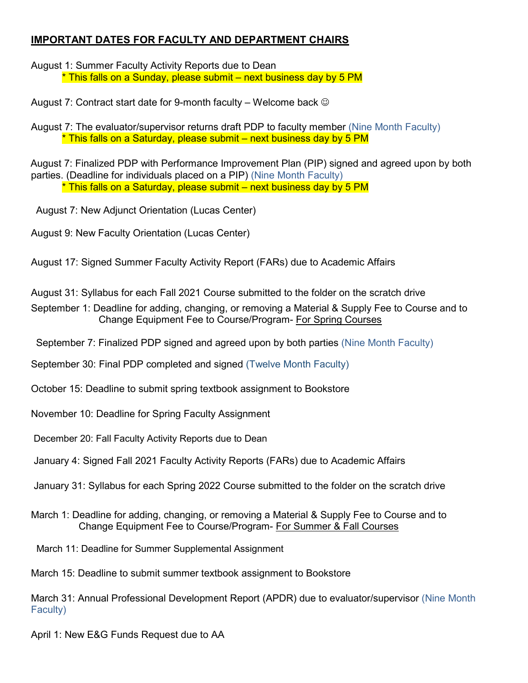## **IMPORTANT DATES FOR FACULTY AND DEPARTMENT CHAIRS**

August 1: Summer Faculty Activity Reports due to Dean \* This falls on a Sunday, please submit – next business day by 5 PM

August 7: Contract start date for 9-month faculty – Welcome back  $\circledcirc$ 

August 7: The evaluator/supervisor returns draft PDP to faculty member (Nine Month Faculty) \* This falls on a Saturday, please submit – next business day by 5 PM

August 7: Finalized PDP with Performance Improvement Plan (PIP) signed and agreed upon by both parties. (Deadline for individuals placed on a PIP) (Nine Month Faculty) \* This falls on a Saturday, please submit – next business day by 5 PM

August 7: New Adjunct Orientation (Lucas Center)

August 9: New Faculty Orientation (Lucas Center)

August 17: Signed Summer Faculty Activity Report (FARs) due to Academic Affairs

August 31: Syllabus for each Fall 2021 Course submitted to the folder on the scratch drive

September 1: Deadline for adding, changing, or removing a Material & Supply Fee to Course and to Change Equipment Fee to Course/Program- For Spring Courses

September 7: Finalized PDP signed and agreed upon by both parties (Nine Month Faculty)

September 30: Final PDP completed and signed (Twelve Month Faculty)

October 15: Deadline to submit spring textbook assignment to Bookstore

November 10: Deadline for Spring Faculty Assignment

December 20: Fall Faculty Activity Reports due to Dean

January 4: Signed Fall 2021 Faculty Activity Reports (FARs) due to Academic Affairs

January 31: Syllabus for each Spring 2022 Course submitted to the folder on the scratch drive

March 1: Deadline for adding, changing, or removing a Material & Supply Fee to Course and to Change Equipment Fee to Course/Program- For Summer & Fall Courses

March 11: Deadline for Summer Supplemental Assignment

March 15: Deadline to submit summer textbook assignment to Bookstore

March 31: Annual Professional Development Report (APDR) due to evaluator/supervisor (Nine Month Faculty)

April 1: New E&G Funds Request due to AA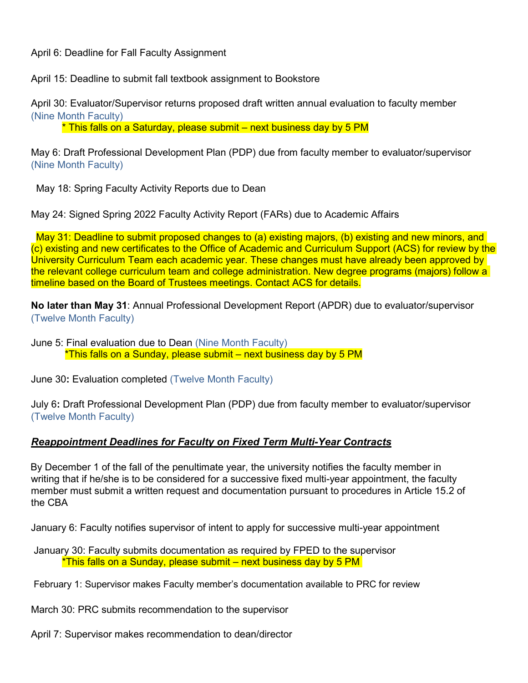April 6: Deadline for Fall Faculty Assignment

April 15: Deadline to submit fall textbook assignment to Bookstore

April 30: Evaluator/Supervisor returns proposed draft written annual evaluation to faculty member (Nine Month Faculty)

\* This falls on a Saturday, please submit – next business day by 5 PM

May 6: Draft Professional Development Plan (PDP) due from faculty member to evaluator/supervisor (Nine Month Faculty)

May 18: Spring Faculty Activity Reports due to Dean

May 24: Signed Spring 2022 Faculty Activity Report (FARs) due to Academic Affairs

May 31: Deadline to submit proposed changes to (a) existing majors, (b) existing and new minors, and (c) existing and new certificates to the Office of Academic and Curriculum Support (ACS) for review by the University Curriculum Team each academic year. These changes must have already been approved by the relevant college curriculum team and college administration. New degree programs (majors) follow a timeline based on the Board of Trustees meetings. Contact ACS for details.

**No later than May 31**: Annual Professional Development Report (APDR) due to evaluator/supervisor (Twelve Month Faculty)

June 5: Final evaluation due to Dean (Nine Month Faculty) \*This falls on a Sunday, please submit – next business day by 5 PM

June 30**:** Evaluation completed (Twelve Month Faculty)

July 6**:** Draft Professional Development Plan (PDP) due from faculty member to evaluator/supervisor (Twelve Month Faculty)

## *Reappointment Deadlines for Faculty on Fixed Term Multi-Year Contracts*

By December 1 of the fall of the penultimate year, the university notifies the faculty member in writing that if he/she is to be considered for a successive fixed multi-year appointment, the faculty member must submit a written request and documentation pursuant to procedures in Article 15.2 of the CBA

January 6: Faculty notifies supervisor of intent to apply for successive multi-year appointment

January 30: Faculty submits documentation as required by FPED to the supervisor \*This falls on a Sunday, please submit – next business day by 5 PM

February 1: Supervisor makes Faculty member's documentation available to PRC for review

March 30: PRC submits recommendation to the supervisor

April 7: Supervisor makes recommendation to dean/director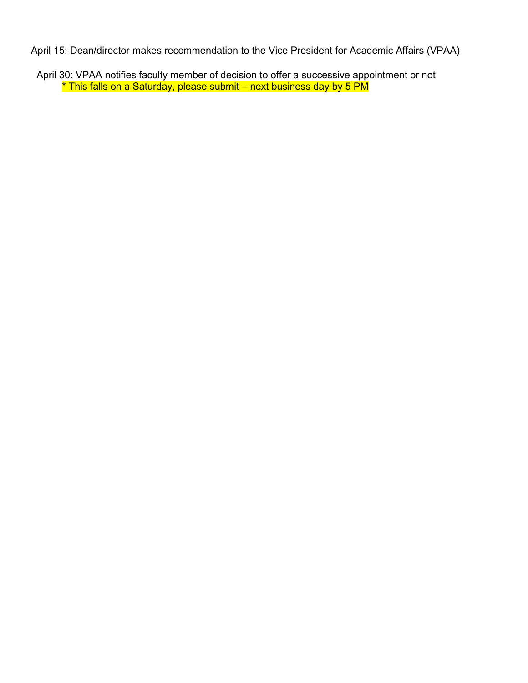April 15: Dean/director makes recommendation to the Vice President for Academic Affairs (VPAA)

 April 30: VPAA notifies faculty member of decision to offer a successive appointment or not \* This falls on a Saturday, please submit – next business day by 5 PM